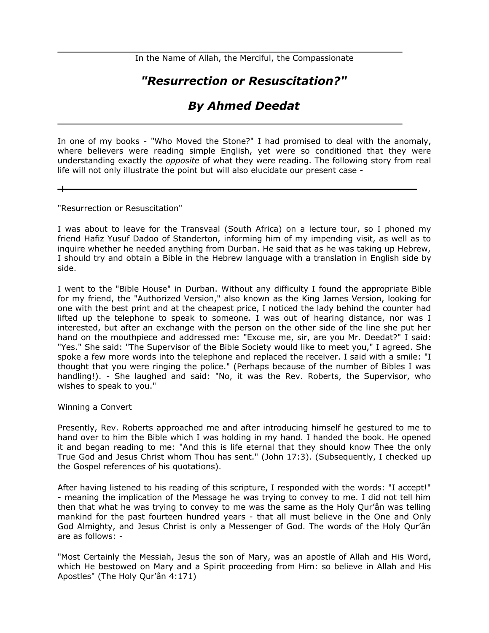In the Name of Allah, the Merciful, the Compassionate

# *"Resurrection or Resuscitation?"*

# *By Ahmed Deedat*

In one of my books - "Who Moved the Stone?" I had promised to deal with the anomaly, where believers were reading simple English, yet were so conditioned that they were understanding exactly the *opposite* of what they were reading. The following story from real life will not only illustrate the point but will also elucidate our present case -

"Resurrection or Resuscitation"

I was about to leave for the Transvaal (South Africa) on a lecture tour, so I phoned my friend Hafiz Yusuf Dadoo of Standerton, informing him of my impending visit, as well as to inquire whether he needed anything from Durban. He said that as he was taking up Hebrew, I should try and obtain a Bible in the Hebrew language with a translation in English side by side.

I went to the "Bible House" in Durban. Without any difficulty I found the appropriate Bible for my friend, the "Authorized Version," also known as the King James Version, looking for one with the best print and at the cheapest price, I noticed the lady behind the counter had lifted up the telephone to speak to someone. I was out of hearing distance, nor was I interested, but after an exchange with the person on the other side of the line she put her hand on the mouthpiece and addressed me: "Excuse me, sir, are you Mr. Deedat?" I said: "Yes." She said: "The Supervisor of the Bible Society would like to meet you," I agreed. She spoke a few more words into the telephone and replaced the receiver. I said with a smile: "I thought that you were ringing the police." (Perhaps because of the number of Bibles I was handling!). - She laughed and said: "No, it was the Rev. Roberts, the Supervisor, who wishes to speak to you."

Winning a Convert

Presently, Rev. Roberts approached me and after introducing himself he gestured to me to hand over to him the Bible which I was holding in my hand. I handed the book. He opened it and began reading to me: "And this is life eternal that they should know Thee the only True God and Jesus Christ whom Thou has sent." (John 17:3). (Subsequently, I checked up the Gospel references of his quotations).

After having listened to his reading of this scripture, I responded with the words: "I accept!" - meaning the implication of the Message he was trying to convey to me. I did not tell him then that what he was trying to convey to me was the same as the Holy Qur'ân was telling mankind for the past fourteen hundred years - that all must believe in the One and Only God Almighty, and Jesus Christ is only a Messenger of God. The words of the Holy Qur'ân are as follows: -

"Most Certainly the Messiah, Jesus the son of Mary, was an apostle of Allah and His Word, which He bestowed on Mary and a Spirit proceeding from Him: so believe in Allah and His Apostles" (The Holy Qur'ân 4:171)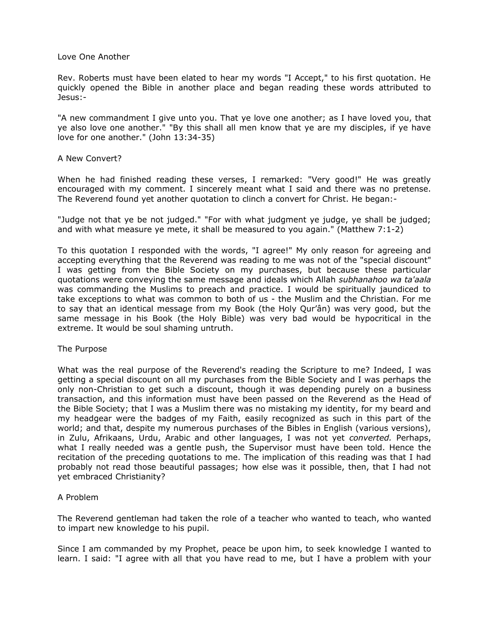#### Love One Another

Rev. Roberts must have been elated to hear my words "I Accept," to his first quotation. He quickly opened the Bible in another place and began reading these words attributed to Jesus:-

"A new commandment I give unto you. That ye love one another; as I have loved you, that ye also love one another." "By this shall all men know that ye are my disciples, if ye have love for one another." (John 13:34-35)

## A New Convert?

When he had finished reading these verses, I remarked: "Very good!" He was greatly encouraged with my comment. I sincerely meant what I said and there was no pretense. The Reverend found yet another quotation to clinch a convert for Christ. He began:-

"Judge not that ye be not judged." "For with what judgment ye judge, ye shall be judged; and with what measure ye mete, it shall be measured to you again." (Matthew 7:1-2)

To this quotation I responded with the words, "I agree!" My only reason for agreeing and accepting everything that the Reverend was reading to me was not of the "special discount" I was getting from the Bible Society on my purchases, but because these particular quotations were conveying the same message and ideals which Allah *subhanahoo wa ta'aala* was commanding the Muslims to preach and practice. I would be spiritually jaundiced to take exceptions to what was common to both of us - the Muslim and the Christian. For me to say that an identical message from my Book (the Holy Qur'ân) was very good, but the same message in his Book (the Holy Bible) was very bad would be hypocritical in the extreme. It would be soul shaming untruth.

#### The Purpose

What was the real purpose of the Reverend's reading the Scripture to me? Indeed, I was getting a special discount on all my purchases from the Bible Society and I was perhaps the only non-Christian to get such a discount, though it was depending purely on a business transaction, and this information must have been passed on the Reverend as the Head of the Bible Society; that I was a Muslim there was no mistaking my identity, for my beard and my headgear were the badges of my Faith, easily recognized as such in this part of the world; and that, despite my numerous purchases of the Bibles in English (various versions), in Zulu, Afrikaans, Urdu, Arabic and other languages, I was not yet *converted.* Perhaps, what I really needed was a gentle push, the Supervisor must have been told. Hence the recitation of the preceding quotations to me. The implication of this reading was that I had probably not read those beautiful passages; how else was it possible, then, that I had not yet embraced Christianity?

# A Problem

The Reverend gentleman had taken the role of a teacher who wanted to teach, who wanted to impart new knowledge to his pupil.

Since I am commanded by my Prophet, peace be upon him, to seek knowledge I wanted to learn. I said: "I agree with all that you have read to me, but I have a problem with your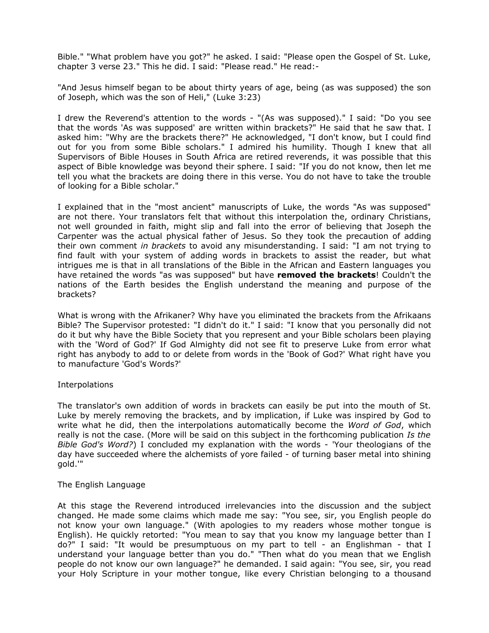Bible." "What problem have you got?" he asked. I said: "Please open the Gospel of St. Luke, chapter 3 verse 23." This he did. I said: "Please read." He read:-

"And Jesus himself began to be about thirty years of age, being (as was supposed) the son of Joseph, which was the son of Heli," (Luke 3:23)

I drew the Reverend's attention to the words - "(As was supposed)." I said: "Do you see that the words 'As was supposed' are written within brackets?" He said that he saw that. I asked him: "Why are the brackets there?" He acknowledged, "I don't know, but I could find out for you from some Bible scholars." I admired his humility. Though I knew that all Supervisors of Bible Houses in South Africa are retired reverends, it was possible that this aspect of Bible knowledge was beyond their sphere. I said: "If you do not know, then let me tell you what the brackets are doing there in this verse. You do not have to take the trouble of looking for a Bible scholar."

I explained that in the "most ancient" manuscripts of Luke, the words "As was supposed" are not there. Your translators felt that without this interpolation the, ordinary Christians, not well grounded in faith, might slip and fall into the error of believing that Joseph the Carpenter was the actual physical father of Jesus. So they took the precaution of adding their own comment *in brackets* to avoid any misunderstanding. I said: "I am not trying to find fault with your system of adding words in brackets to assist the reader, but what intrigues me is that in all translations of the Bible in the African and Eastern languages you have retained the words "as was supposed" but have **removed the brackets**! Couldn't the nations of the Earth besides the English understand the meaning and purpose of the brackets?

What is wrong with the Afrikaner? Why have you eliminated the brackets from the Afrikaans Bible? The Supervisor protested: "I didn't do it." I said: "I know that you personally did not do it but why have the Bible Society that you represent and your Bible scholars been playing with the 'Word of God?' If God Almighty did not see fit to preserve Luke from error what right has anybody to add to or delete from words in the 'Book of God?' What right have you to manufacture 'God's Words?'

#### **Interpolations**

The translator's own addition of words in brackets can easily be put into the mouth of St. Luke by merely removing the brackets, and by implication, if Luke was inspired by God to write what he did, then the interpolations automatically become the *Word of God*, which really is not the case. (More will be said on this subject in the forthcoming publication *Is the Bible God's Word?*) I concluded my explanation with the words - 'Your theologians of the day have succeeded where the alchemists of yore failed - of turning baser metal into shining gold.'"

#### The English Language

At this stage the Reverend introduced irrelevancies into the discussion and the subject changed. He made some claims which made me say: "You see, sir, you English people do not know your own language." (With apologies to my readers whose mother tongue is English). He quickly retorted: "You mean to say that you know my language better than I do?" I said: "It would be presumptuous on my part to tell - an Englishman - that I understand your language better than you do." "Then what do you mean that we English people do not know our own language?" he demanded. I said again: "You see, sir, you read your Holy Scripture in your mother tongue, like every Christian belonging to a thousand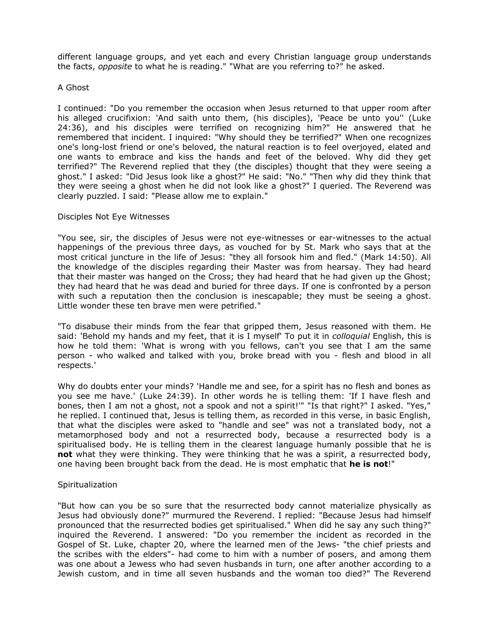different language groups, and yet each and every Christian language group understands the facts, *opposite* to what he is reading." "What are you referring to?" he asked.

#### A Ghost

I continued: "Do you remember the occasion when Jesus returned to that upper room after his alleged crucifixion: 'And saith unto them, (his disciples), 'Peace be unto you'' (Luke 24:36), and his disciples were terrified on recognizing him?" He answered that he remembered that incident. I inquired: "Why should they be terrified?" When one recognizes one's long-lost friend or one's beloved, the natural reaction is to feel overjoyed, elated and one wants to embrace and kiss the hands and feet of the beloved. Why did they get terrified?" The Reverend replied that they (the disciples) thought that they were seeing a ghost." I asked: "Did Jesus look like a ghost?" He said: "No." "Then why did they think that they were seeing a ghost when he did not look like a ghost?" I queried. The Reverend was clearly puzzled. I said: "Please allow me to explain."

## Disciples Not Eye Witnesses

"You see, sir, the disciples of Jesus were not eye-witnesses or ear-witnesses to the actual happenings of the previous three days, as vouched for by St. Mark who says that at the most critical juncture in the life of Jesus: "they all forsook him and fled." (Mark 14:50). All the knowledge of the disciples regarding their Master was from hearsay. They had heard that their master was hanged on the Cross; they had heard that he had given up the Ghost; they had heard that he was dead and buried for three days. If one is confronted by a person with such a reputation then the conclusion is inescapable; they must be seeing a ghost. Little wonder these ten brave men were petrified."

"To disabuse their minds from the fear that gripped them, Jesus reasoned with them. He said: 'Behold my hands and my feet, that it is I myself' To put it in *colloquial* English, this is how he told them: 'What is wrong with you fellows, can't you see that I am the same person - who walked and talked with you, broke bread with you - flesh and blood in all respects.'

Why do doubts enter your minds? 'Handle me and see, for a spirit has no flesh and bones as you see me have.' (Luke 24:39). In other words he is telling them: 'If I have flesh and bones, then I am not a ghost, not a spook and not a spirit!'" "Is that right?" I asked. "Yes," he replied. I continued that, Jesus is telling them, as recorded in this verse, in basic English, that what the disciples were asked to "handle and see" was not a translated body, not a metamorphosed body and not a resurrected body, because a resurrected body is a spiritualised body. He is telling them in the clearest language humanly possible that he is **not** what they were thinking. They were thinking that he was a spirit, a resurrected body, one having been brought back from the dead. He is most emphatic that **he is not**!"

# **Spiritualization**

"But how can you be so sure that the resurrected body cannot materialize physically as Jesus had obviously done?" murmured the Reverend. I replied: "Because Jesus had himself pronounced that the resurrected bodies get spiritualised." When did he say any such thing?" inquired the Reverend. I answered: "Do you remember the incident as recorded in the Gospel of St. Luke, chapter 20, where the learned men of the Jews- "the chief priests and the scribes with the elders"- had come to him with a number of posers, and among them was one about a Jewess who had seven husbands in turn, one after another according to a Jewish custom, and in time all seven husbands and the woman too died?" The Reverend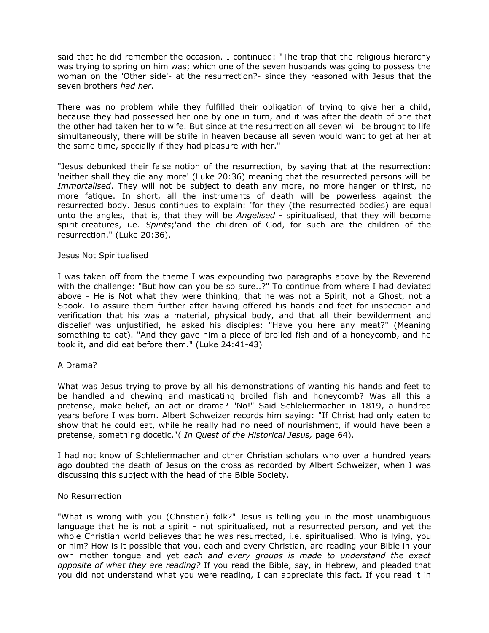said that he did remember the occasion. I continued: "The trap that the religious hierarchy was trying to spring on him was; which one of the seven husbands was going to possess the woman on the 'Other side'- at the resurrection?- since they reasoned with Jesus that the seven brothers *had her*.

There was no problem while they fulfilled their obligation of trying to give her a child, because they had possessed her one by one in turn, and it was after the death of one that the other had taken her to wife. But since at the resurrection all seven will be brought to life simultaneously, there will be strife in heaven because all seven would want to get at her at the same time, specially if they had pleasure with her."

"Jesus debunked their false notion of the resurrection, by saying that at the resurrection: 'neither shall they die any more' (Luke 20:36) meaning that the resurrected persons will be *Immortalised*. They will not be subject to death any more, no more hanger or thirst, no more fatigue. In short, all the instruments of death will be powerless against the resurrected body. Jesus continues to explain: 'for they (the resurrected bodies) are equal unto the angles,' that is, that they will be *Angelised* - spiritualised, that they will become spirit-creatures, i.e. *Spirits*;'and the children of God, for such are the children of the resurrection." (Luke 20:36).

## Jesus Not Spiritualised

I was taken off from the theme I was expounding two paragraphs above by the Reverend with the challenge: "But how can you be so sure..?" To continue from where I had deviated above - He is Not what they were thinking, that he was not a Spirit, not a Ghost, not a Spook. To assure them further after having offered his hands and feet for inspection and verification that his was a material, physical body, and that all their bewilderment and disbelief was unjustified, he asked his disciples: "Have you here any meat?" (Meaning something to eat). "And they gave him a piece of broiled fish and of a honeycomb, and he took it, and did eat before them." (Luke 24:41-43)

#### A Drama?

What was Jesus trying to prove by all his demonstrations of wanting his hands and feet to be handled and chewing and masticating broiled fish and honeycomb? Was all this a pretense, make-belief, an act or drama? "No!" Said Schleliermacher in 1819, a hundred years before I was born. Albert Schweizer records him saying: "If Christ had only eaten to show that he could eat, while he really had no need of nourishment, if would have been a pretense, something docetic."( *In Quest of the Historical Jesus,* page 64).

I had not know of Schleliermacher and other Christian scholars who over a hundred years ago doubted the death of Jesus on the cross as recorded by Albert Schweizer, when I was discussing this subject with the head of the Bible Society.

#### No Resurrection

"What is wrong with you (Christian) folk?" Jesus is telling you in the most unambiguous language that he is not a spirit - not spiritualised, not a resurrected person, and yet the whole Christian world believes that he was resurrected, i.e. spiritualised. Who is lying, you or him? How is it possible that you, each and every Christian, are reading your Bible in your own mother tongue and yet *each and every groups is made to understand the exact opposite of what they are reading?* If you read the Bible, say, in Hebrew, and pleaded that you did not understand what you were reading, I can appreciate this fact. If you read it in